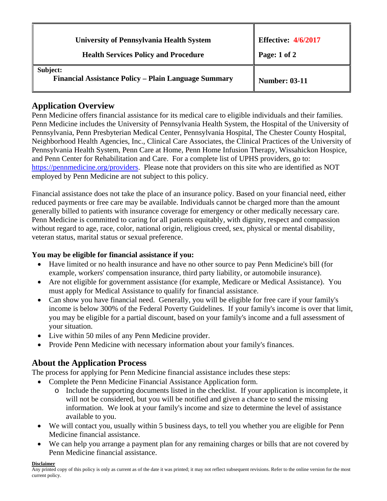| <b>University of Pennsylvania Health System</b>                  | <b>Effective: 4/6/2017</b> |
|------------------------------------------------------------------|----------------------------|
| <b>Health Services Policy and Procedure</b>                      | Page: 1 of 2               |
| Subject:<br>Financial Assistance Policy - Plain Language Summary | <b>Number: 03-11</b>       |

## **Application Overview**

Penn Medicine offers financial assistance for its medical care to eligible individuals and their families. Penn Medicine includes the University of Pennsylvania Health System, the Hospital of the University of Pennsylvania, Penn Presbyterian Medical Center, Pennsylvania Hospital, The Chester County Hospital, Neighborhood Health Agencies, Inc., Clinical Care Associates, the Clinical Practices of the University of Pennsylvania Health System, Penn Care at Home, Penn Home Infusion Therapy, Wissahickon Hospice, and Penn Center for Rehabilitation and Care. For a complete list of UPHS providers, go to: https://pennmedicine.org/providers. Please note that providers on this site who are identified as NOT employed by Penn Medicine are not subject to this policy.

Financial assistance does not take the place of an insurance policy. Based on your financial need, either reduced payments or free care may be available. Individuals cannot be charged more than the amount generally billed to patients with insurance coverage for emergency or other medically necessary care. Penn Medicine is committed to caring for all patients equitably, with dignity, respect and compassion without regard to age, race, color, national origin, religious creed, sex, physical or mental disability, veteran status, marital status or sexual preference.

## **You may be eligible for financial assistance if you:**

- Have limited or no health insurance and have no other source to pay Penn Medicine's bill (for example, workers' compensation insurance, third party liability, or automobile insurance).
- Are not eligible for government assistance (for example, Medicare or Medical Assistance). You must apply for Medical Assistance to qualify for financial assistance.
- Can show you have financial need. Generally, you will be eligible for free care if your family's income is below 300% of the Federal Poverty Guidelines. If your family's income is over that limit, you may be eligible for a partial discount, based on your family's income and a full assessment of your situation.
- Live within 50 miles of any Penn Medicine provider.
- Provide Penn Medicine with necessary information about your family's finances.

# **About the Application Process**

The process for applying for Penn Medicine financial assistance includes these steps:

- Complete the Penn Medicine Financial Assistance Application form.
	- o Include the supporting documents listed in the checklist. If your application is incomplete, it will not be considered, but you will be notified and given a chance to send the missing information. We look at your family's income and size to determine the level of assistance available to you.
- We will contact you, usually within 5 business days, to tell you whether you are eligible for Penn Medicine financial assistance.
- We can help you arrange a payment plan for any remaining charges or bills that are not covered by Penn Medicine financial assistance.

#### **Disclaimer**

Any printed copy of this policy is only as current as of the date it was printed; it may not reflect subsequent revisions. Refer to the online version for the most current policy.